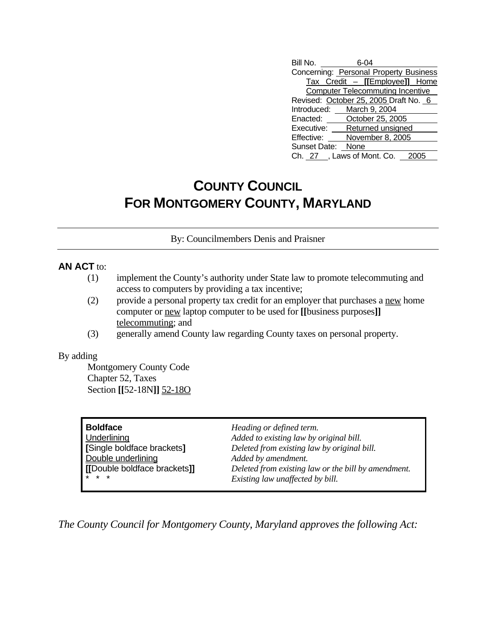| Bill No.                               | 6-04                                    |  |  |  |
|----------------------------------------|-----------------------------------------|--|--|--|
| Concerning: Personal Property Business |                                         |  |  |  |
|                                        | Tax Credit - [[Employee]] Home          |  |  |  |
|                                        | <b>Computer Telecommuting Incentive</b> |  |  |  |
|                                        | Revised: October 25, 2005 Draft No. 6   |  |  |  |
|                                        | Introduced: March 9, 2004               |  |  |  |
|                                        | Enacted: October 25, 2005               |  |  |  |
| Executive:                             | Returned unsigned                       |  |  |  |
| Effective:                             | November 8, 2005                        |  |  |  |
| Sunset Date: None                      |                                         |  |  |  |
|                                        | Ch. 27, Laws of Mont. Co. 20            |  |  |  |

## **COUNTY COUNCIL FOR MONTGOMERY COUNTY, MARYLAND**

By: Councilmembers Denis and Praisner

## **AN ACT** to:

- (1) implement the County's authority under State law to promote telecommuting and access to computers by providing a tax incentive;
- (2) provide a personal property tax credit for an employer that purchases a new home computer or new laptop computer to be used for **[[**business purposes**]]** telecommuting; and
- (3) generally amend County law regarding County taxes on personal property.

## By adding

 Montgomery County Code Chapter 52, Taxes Section **[[**52-18N**]]** 52-18O

| <b>Boldface</b>             | Heading or defined term.                            |
|-----------------------------|-----------------------------------------------------|
| Underlining                 | Added to existing law by original bill.             |
| [Single boldface brackets]  | Deleted from existing law by original bill.         |
| Double underlining          | Added by amendment.                                 |
| [Double boldface brackets]] | Deleted from existing law or the bill by amendment. |
| $* * *$                     | Existing law unaffected by bill.                    |

*The County Council for Montgomery County, Maryland approves the following Act:*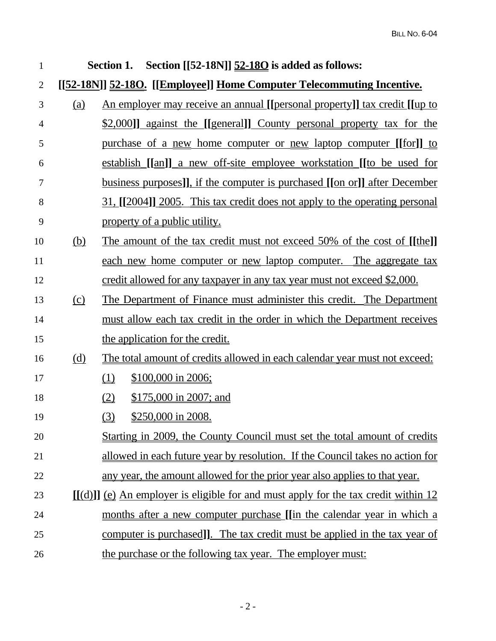| $\mathbf{1}$   |            | Section [[52-18N]] 52-180 is added as follows:<br>Section 1.                          |  |  |
|----------------|------------|---------------------------------------------------------------------------------------|--|--|
| $\overline{2}$ |            | [[52-18N]] 52-180. [[Employee]] Home Computer Telecommuting Incentive.                |  |  |
| 3              | (a)        | An employer may receive an annual [[personal property]] tax credit [[up to            |  |  |
| 4              |            | \$2,000]] against the [[general]] County personal property tax for the                |  |  |
| 5              |            | <u>purchase of a new home computer or new laptop computer [[for]] to</u>              |  |  |
| 6              |            | <u>establish [[an]] a new off-site employee workstation [[to be used for</u>          |  |  |
| 7              |            | <u>business purposes], if the computer is purchased [[on or]] after December</u>      |  |  |
| 8              |            | <u>31, [[2004]] 2005. This tax credit does not apply to the operating personal</u>    |  |  |
| 9              |            | property of a public utility.                                                         |  |  |
| 10             | <u>(b)</u> | The amount of the tax credit must not exceed 50% of the cost of [[the]]               |  |  |
| 11             |            | each new home computer or new laptop computer. The aggregate tax                      |  |  |
| 12             |            | credit allowed for any taxpayer in any tax year must not exceed \$2,000.              |  |  |
| 13             | $\Omega$   | The Department of Finance must administer this credit. The Department                 |  |  |
| 14             |            | must allow each tax credit in the order in which the Department receives              |  |  |
| 15             |            | the application for the credit.                                                       |  |  |
| 16             | <u>(d)</u> | The total amount of credits allowed in each calendar year must not exceed:            |  |  |
| 17             |            | \$100,000 in 2006;<br>(1)                                                             |  |  |
| 18             |            | \$175,000 in 2007; and<br>(2)                                                         |  |  |
| 19             |            | (3)<br>\$250,000 in 2008.                                                             |  |  |
| 20             |            | Starting in 2009, the County Council must set the total amount of credits             |  |  |
| 21             |            | allowed in each future year by resolution. If the Council takes no action for         |  |  |
| 22             |            | any year, the amount allowed for the prior year also applies to that year.            |  |  |
| 23             |            | $[[(d)]]$ (e) An employer is eligible for and must apply for the tax credit within 12 |  |  |
| 24             |            | months after a new computer purchase [[in the calendar year in which a                |  |  |
| 25             |            | computer is purchased]]. The tax credit must be applied in the tax year of            |  |  |
| 26             |            | the purchase or the following tax year. The employer must:                            |  |  |